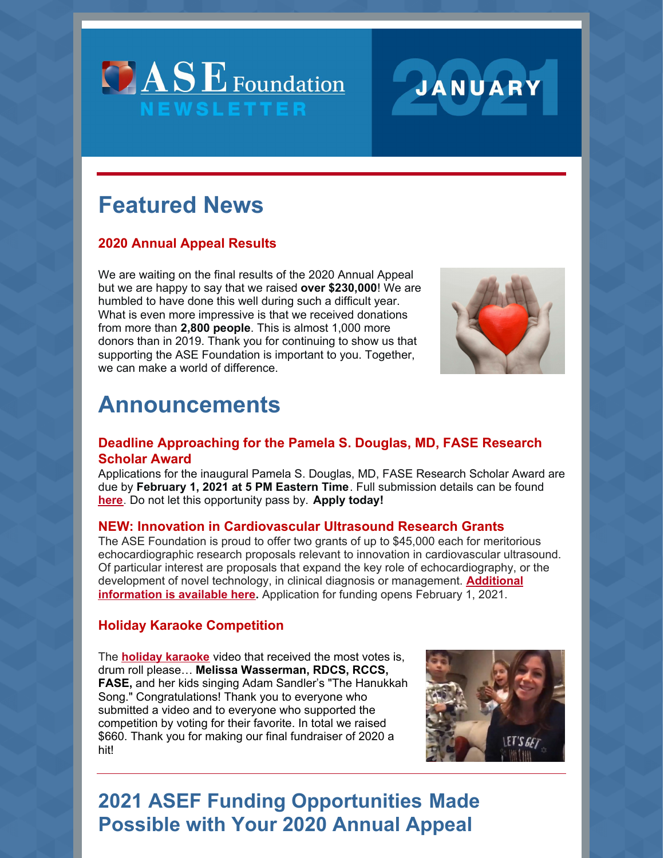



# **Featured News**

### **2020 Annual Appeal Results**

We are waiting on the final results of the 2020 Annual Appeal but we are happy to say that we raised **over \$230,000**! We are humbled to have done this well during such a difficult year. What is even more impressive is that we received donations from more than **2,800 people**. This is almost 1,000 more donors than in 2019. Thank you for continuing to show us that supporting the ASE Foundation is important to you. Together, we can make a world of difference.



## **Announcements**

#### **Deadline Approaching for the Pamela S. Douglas, MD, FASE Research Scholar Award**

Applications for the inaugural Pamela S. Douglas, MD, FASE Research Scholar Award are due by **February 1, 2021 at 5 PM Eastern Time**. Full submission details can be found **[here](https://www.asefoundation.org/pamelasdouglasresearchscholar/)**. Do not let this opportunity pass by. **Apply today!**

#### **NEW: Innovation in Cardiovascular Ultrasound Research Grants**

The ASE Foundation is proud to offer two grants of up to \$45,000 each for meritorious echocardiographic research proposals relevant to innovation in cardiovascular ultrasound. Of particular interest are proposals that expand the key role of echocardiography, or the development of novel technology, in clinical diagnosis or [management.](https://www.asefoundation.org/innovation-in-cardiovascular-ultrasound-research-grants/) **Additional information is available here.** Application for funding opens February 1, 2021.

#### **Holiday Karaoke Competition**

The **holiday [karaoke](https://www.asefoundation.org/holiday-karaoke-competition/)** video that received the most votes is, drum roll please… **Melissa Wasserman, RDCS, RCCS, FASE,** and her kids singing Adam Sandler's "The Hanukkah Song." Congratulations! Thank you to everyone who submitted a video and to everyone who supported the competition by voting for their favorite. In total we raised \$660. Thank you for making our final fundraiser of 2020 a hit!



## **2021 ASEF Funding Opportunities Made Possible with Your 2020 Annual Appeal**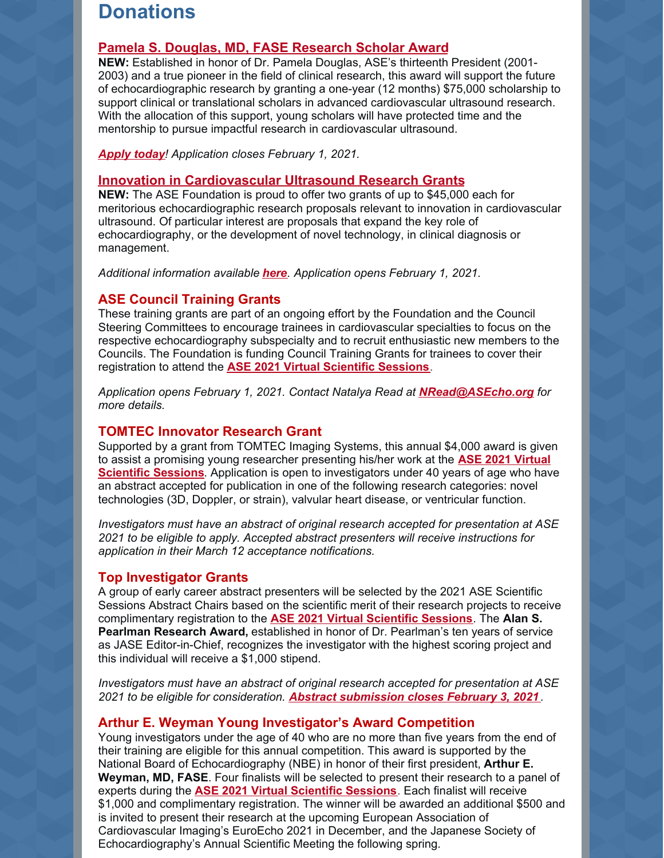### **Donations**

#### **Pamela S. Douglas, MD, FASE [Research](https://www.asefoundation.org/pamelasdouglasresearchscholar/) Scholar Award**

**NEW:** Established in honor of Dr. Pamela Douglas, ASE's thirteenth President (2001- 2003) and a true pioneer in the field of clinical research, this award will support the future of echocardiographic research by granting a one-year (12 months) \$75,000 scholarship to support clinical or translational scholars in advanced cardiovascular ultrasound research. With the allocation of this support, young scholars will have protected time and the mentorship to pursue impactful research in cardiovascular ultrasound.

*[Apply](https://www.asefoundation.org/pamelasdouglasresearchscholar/) today! Application closes February 1, 2021.*

#### **Innovation in [Cardiovascular](https://www.asefoundation.org/innovation-in-cardiovascular-ultrasound-research-grants/) Ultrasound Research Grants**

**NEW:** The ASE Foundation is proud to offer two grants of up to \$45,000 each for meritorious echocardiographic research proposals relevant to innovation in cardiovascular ultrasound. Of particular interest are proposals that expand the key role of echocardiography, or the development of novel technology, in clinical diagnosis or management.

*Additional information available [here](https://www.asefoundation.org/innovation-in-cardiovascular-ultrasound-research-grants/). Application opens February 1, 2021.*

#### **ASE Council Training Grants**

These training grants are part of an ongoing effort by the Foundation and the Council Steering Committees to encourage trainees in cardiovascular specialties to focus on the respective echocardiography subspecialty and to recruit enthusiastic new members to the Councils. The Foundation is funding Council Training Grants for trainees to cover their registration to attend the **ASE 2021 Virtual [Scientific](https://www.asescientificsessions.org/) Sessions**.

*Application opens February 1, 2021. Contact Natalya Read at [NRead@ASEcho.org](mailto:nread@asecho.org) for more details.*

#### **TOMTEC Innovator Research Grant**

Supported by a grant from TOMTEC Imaging Systems, this annual \$4,000 award is given to assist a promising young researcher presenting his/her work at the **ASE 2021 Virtual Scientific Sessions**. Application is open to [investigators](https://www.asescientificsessions.org/) under 40 years of age who have an abstract accepted for publication in one of the following research categories: novel technologies (3D, Doppler, or strain), valvular heart disease, or ventricular function.

*Investigators must have an abstract of original research accepted for presentation at ASE 2021 to be eligible to apply. Accepted abstract presenters will receive instructions for application in their March 12 acceptance notifications.*

#### **Top Investigator Grants**

A group of early career abstract presenters will be selected by the 2021 ASE Scientific Sessions Abstract Chairs based on the scientific merit of their research projects to receive complimentary registration to the **ASE 2021 Virtual [Scientific](https://www.asescientificsessions.org/) Sessions**. The **Alan S. Pearlman Research Award,** established in honor of Dr. Pearlman's ten years of service as JASE Editor-in-Chief, recognizes the investigator with the highest scoring project and this individual will receive a \$1,000 stipend.

*Investigators must have an abstract of original research accepted for presentation at ASE 2021 to be eligible for consideration. Abstract [submission](https://www.asescientificsessions.org/call-for-abstracts/) closes February 3, 2021 .*

#### **Arthur E. Weyman Young Investigator's Award Competition**

Young investigators under the age of 40 who are no more than five years from the end of their training are eligible for this annual competition. This award is supported by the National Board of Echocardiography (NBE) in honor of their first president, **Arthur E. Weyman, MD, FASE**. Four finalists will be selected to present their research to a panel of experts during the **ASE 2021 Virtual [Scientific](https://www.asescientificsessions.org/) Sessions**. Each finalist will receive \$1,000 and complimentary registration. The winner will be awarded an additional \$500 and is invited to present their research at the upcoming European Association of Cardiovascular Imaging's EuroEcho 2021 in December, and the Japanese Society of Echocardiography's Annual Scientific Meeting the following spring.